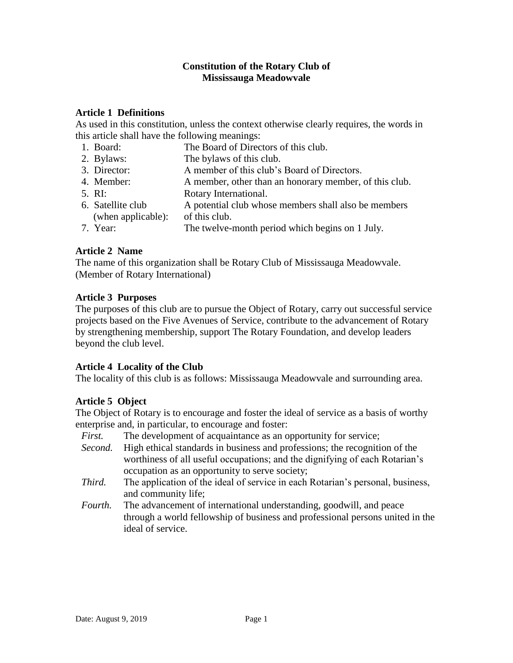### **Constitution of the Rotary Club of Mississauga Meadowvale**

### **Article 1 Definitions**

As used in this constitution, unless the context otherwise clearly requires, the words in this article shall have the following meanings:

- 1. Board: The Board of Directors of this club.
- 2. Bylaws: The bylaws of this club.
- 3. Director: A member of this club's Board of Directors.
- 4. Member: A member, other than an honorary member, of this club.
- 5. RI: Rotary International.
- 6. Satellite club A potential club whose members shall also be members (when applicable): of this club.
- 7. Year: The twelve-month period which begins on 1 July.

### **Article 2 Name**

The name of this organization shall be Rotary Club of Mississauga Meadowvale. (Member of Rotary International)

### **Article 3 Purposes**

The purposes of this club are to pursue the Object of Rotary, carry out successful service projects based on the Five Avenues of Service, contribute to the advancement of Rotary by strengthening membership, support The Rotary Foundation, and develop leaders beyond the club level.

# **Article 4 Locality of the Club**

The locality of this club is as follows: Mississauga Meadowvale and surrounding area.

# **Article 5 Object**

The Object of Rotary is to encourage and foster the ideal of service as a basis of worthy enterprise and, in particular, to encourage and foster:

- *First.* The development of acquaintance as an opportunity for service;
- *Second.* High ethical standards in business and professions; the recognition of the worthiness of all useful occupations; and the dignifying of each Rotarian's occupation as an opportunity to serve society;
- *Third.* The application of the ideal of service in each Rotarian's personal, business, and community life;
- *Fourth.* The advancement of international understanding, goodwill, and peace through a world fellowship of business and professional persons united in the ideal of service.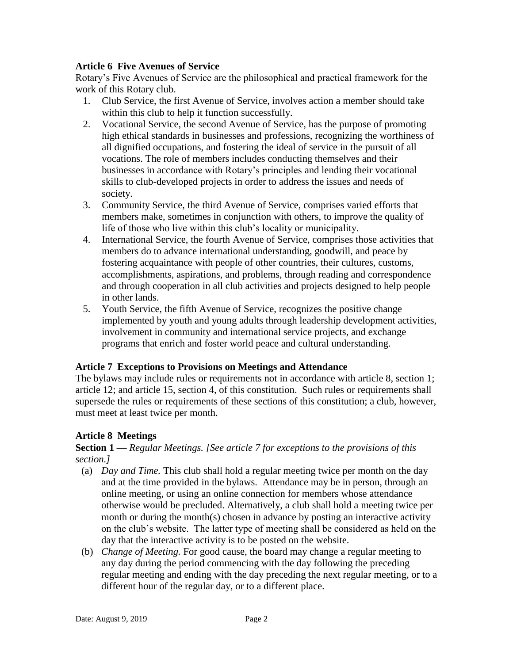### **Article 6 Five Avenues of Service**

Rotary's Five Avenues of Service are the philosophical and practical framework for the work of this Rotary club.

- 1. Club Service, the first Avenue of Service, involves action a member should take within this club to help it function successfully.
- 2. Vocational Service, the second Avenue of Service, has the purpose of promoting high ethical standards in businesses and professions, recognizing the worthiness of all dignified occupations, and fostering the ideal of service in the pursuit of all vocations. The role of members includes conducting themselves and their businesses in accordance with Rotary's principles and lending their vocational skills to club-developed projects in order to address the issues and needs of society.
- 3. Community Service, the third Avenue of Service, comprises varied efforts that members make, sometimes in conjunction with others, to improve the quality of life of those who live within this club's locality or municipality.
- 4. International Service, the fourth Avenue of Service, comprises those activities that members do to advance international understanding, goodwill, and peace by fostering acquaintance with people of other countries, their cultures, customs, accomplishments, aspirations, and problems, through reading and correspondence and through cooperation in all club activities and projects designed to help people in other lands.
- 5. Youth Service, the fifth Avenue of Service, recognizes the positive change implemented by youth and young adults through leadership development activities, involvement in community and international service projects, and exchange programs that enrich and foster world peace and cultural understanding.

# **Article 7 Exceptions to Provisions on Meetings and Attendance**

The bylaws may include rules or requirements not in accordance with article 8, section 1; article 12; and article 15, section 4, of this constitution. Such rules or requirements shall supersede the rules or requirements of these sections of this constitution; a club, however, must meet at least twice per month.

# **Article 8 Meetings**

### **Section 1 —** *Regular Meetings. [See article 7 for exceptions to the provisions of this section.]*

- (a) *Day and Time.* This club shall hold a regular meeting twice per month on the day and at the time provided in the bylaws. Attendance may be in person, through an online meeting, or using an online connection for members whose attendance otherwise would be precluded. Alternatively, a club shall hold a meeting twice per month or during the month(s) chosen in advance by posting an interactive activity on the club's website. The latter type of meeting shall be considered as held on the day that the interactive activity is to be posted on the website.
- (b) *Change of Meeting.* For good cause, the board may change a regular meeting to any day during the period commencing with the day following the preceding regular meeting and ending with the day preceding the next regular meeting, or to a different hour of the regular day, or to a different place.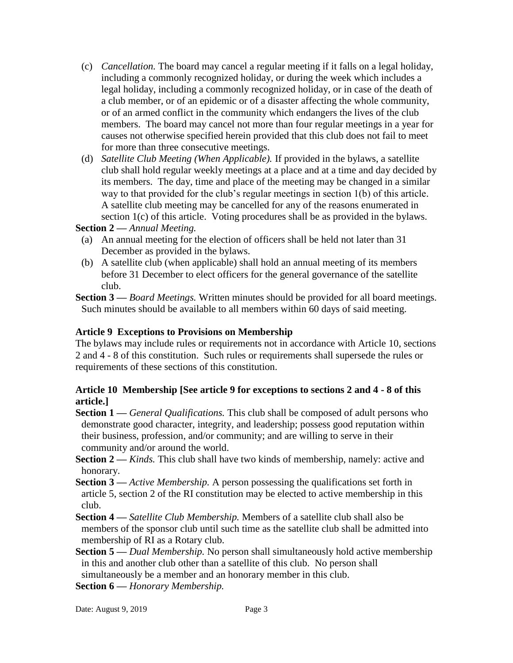- (c) *Cancellation.* The board may cancel a regular meeting if it falls on a legal holiday, including a commonly recognized holiday, or during the week which includes a legal holiday, including a commonly recognized holiday, or in case of the death of a club member, or of an epidemic or of a disaster affecting the whole community, or of an armed conflict in the community which endangers the lives of the club members. The board may cancel not more than four regular meetings in a year for causes not otherwise specified herein provided that this club does not fail to meet for more than three consecutive meetings.
- (d) *Satellite Club Meeting (When Applicable).* If provided in the bylaws, a satellite club shall hold regular weekly meetings at a place and at a time and day decided by its members. The day, time and place of the meeting may be changed in a similar way to that provided for the club's regular meetings in section 1(b) of this article. A satellite club meeting may be cancelled for any of the reasons enumerated in section 1(c) of this article. Voting procedures shall be as provided in the bylaws.

### **Section 2 —** *Annual Meeting.*

- (a) An annual meeting for the election of officers shall be held not later than 31 December as provided in the bylaws.
- (b) A satellite club (when applicable) shall hold an annual meeting of its members before 31 December to elect officers for the general governance of the satellite club.

**Section 3 —** *Board Meetings.* Written minutes should be provided for all board meetings. Such minutes should be available to all members within 60 days of said meeting.

### **Article 9 Exceptions to Provisions on Membership**

The bylaws may include rules or requirements not in accordance with Article 10, sections 2 and 4 - 8 of this constitution. Such rules or requirements shall supersede the rules or requirements of these sections of this constitution.

# **Article 10 Membership [See article 9 for exceptions to sections 2 and 4 - 8 of this article.]**

- **Section 1 —** *General Qualifications.* This club shall be composed of adult persons who demonstrate good character, integrity, and leadership; possess good reputation within their business, profession, and/or community; and are willing to serve in their community and/or around the world.
- **Section 2** *Kinds*. This club shall have two kinds of membership, namely: active and honorary.
- **Section 3 —** *Active Membership.* A person possessing the qualifications set forth in article 5, section 2 of the RI constitution may be elected to active membership in this club.
- **Section 4 —** *Satellite Club Membership.* Members of a satellite club shall also be members of the sponsor club until such time as the satellite club shall be admitted into membership of RI as a Rotary club.
- **Section 5 —** *Dual Membership.* No person shall simultaneously hold active membership in this and another club other than a satellite of this club. No person shall simultaneously be a member and an honorary member in this club.

**Section 6 —** *Honorary Membership.*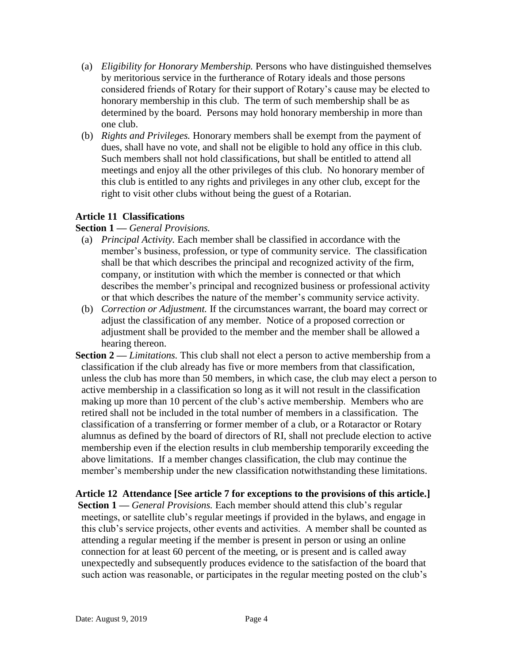- (a) *Eligibility for Honorary Membership.* Persons who have distinguished themselves by meritorious service in the furtherance of Rotary ideals and those persons considered friends of Rotary for their support of Rotary's cause may be elected to honorary membership in this club. The term of such membership shall be as determined by the board. Persons may hold honorary membership in more than one club.
- (b) *Rights and Privileges.* Honorary members shall be exempt from the payment of dues, shall have no vote, and shall not be eligible to hold any office in this club. Such members shall not hold classifications, but shall be entitled to attend all meetings and enjoy all the other privileges of this club. No honorary member of this club is entitled to any rights and privileges in any other club, except for the right to visit other clubs without being the guest of a Rotarian.

# **Article 11 Classifications**

#### **Section 1 —** *General Provisions.*

- (a) *Principal Activity.* Each member shall be classified in accordance with the member's business, profession, or type of community service. The classification shall be that which describes the principal and recognized activity of the firm, company, or institution with which the member is connected or that which describes the member's principal and recognized business or professional activity or that which describes the nature of the member's community service activity.
- (b) *Correction or Adjustment.* If the circumstances warrant, the board may correct or adjust the classification of any member. Notice of a proposed correction or adjustment shall be provided to the member and the member shall be allowed a hearing thereon.
- **Section 2 —** *Limitations.* This club shall not elect a person to active membership from a classification if the club already has five or more members from that classification, unless the club has more than 50 members, in which case, the club may elect a person to active membership in a classification so long as it will not result in the classification making up more than 10 percent of the club's active membership. Members who are retired shall not be included in the total number of members in a classification. The classification of a transferring or former member of a club, or a Rotaractor or Rotary alumnus as defined by the board of directors of RI, shall not preclude election to active membership even if the election results in club membership temporarily exceeding the above limitations. If a member changes classification, the club may continue the member's membership under the new classification notwithstanding these limitations.

# **Article 12 Attendance [See article 7 for exceptions to the provisions of this article.]**

**Section 1 —** *General Provisions.* Each member should attend this club's regular meetings, or satellite club's regular meetings if provided in the bylaws, and engage in this club's service projects, other events and activities. A member shall be counted as attending a regular meeting if the member is present in person or using an online connection for at least 60 percent of the meeting, or is present and is called away unexpectedly and subsequently produces evidence to the satisfaction of the board that such action was reasonable, or participates in the regular meeting posted on the club's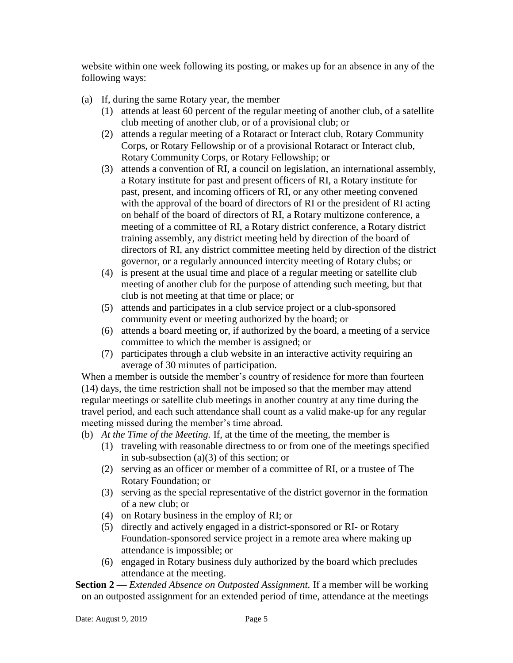website within one week following its posting, or makes up for an absence in any of the following ways:

- (a) If, during the same Rotary year, the member
	- (1) attends at least 60 percent of the regular meeting of another club, of a satellite club meeting of another club, or of a provisional club; or
	- (2) attends a regular meeting of a Rotaract or Interact club, Rotary Community Corps, or Rotary Fellowship or of a provisional Rotaract or Interact club, Rotary Community Corps, or Rotary Fellowship; or
	- (3) attends a convention of RI, a council on legislation, an international assembly, a Rotary institute for past and present officers of RI, a Rotary institute for past, present, and incoming officers of RI, or any other meeting convened with the approval of the board of directors of RI or the president of RI acting on behalf of the board of directors of RI, a Rotary multizone conference, a meeting of a committee of RI, a Rotary district conference, a Rotary district training assembly, any district meeting held by direction of the board of directors of RI, any district committee meeting held by direction of the district governor, or a regularly announced intercity meeting of Rotary clubs; or
	- (4) is present at the usual time and place of a regular meeting or satellite club meeting of another club for the purpose of attending such meeting, but that club is not meeting at that time or place; or
	- (5) attends and participates in a club service project or a club-sponsored community event or meeting authorized by the board; or
	- (6) attends a board meeting or, if authorized by the board, a meeting of a service committee to which the member is assigned; or
	- (7) participates through a club website in an interactive activity requiring an average of 30 minutes of participation.

When a member is outside the member's country of residence for more than fourteen (14) days, the time restriction shall not be imposed so that the member may attend regular meetings or satellite club meetings in another country at any time during the travel period, and each such attendance shall count as a valid make-up for any regular meeting missed during the member's time abroad.

- (b) *At the Time of the Meeting.* If, at the time of the meeting, the member is
	- (1) traveling with reasonable directness to or from one of the meetings specified in sub-subsection (a)(3) of this section; or
	- (2) serving as an officer or member of a committee of RI, or a trustee of The Rotary Foundation; or
	- (3) serving as the special representative of the district governor in the formation of a new club; or
	- (4) on Rotary business in the employ of RI; or
	- (5) directly and actively engaged in a district-sponsored or RI- or Rotary Foundation-sponsored service project in a remote area where making up attendance is impossible; or
	- (6) engaged in Rotary business duly authorized by the board which precludes attendance at the meeting.

**Section 2** — *Extended Absence on Outposted Assignment*. If a member will be working on an outposted assignment for an extended period of time, attendance at the meetings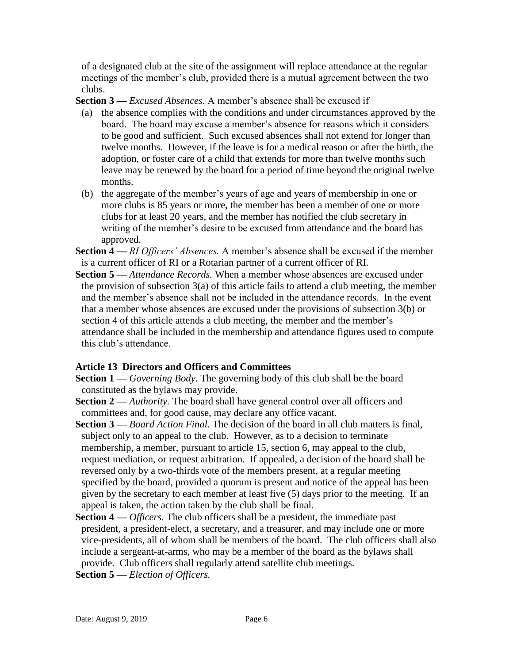of a designated club at the site of the assignment will replace attendance at the regular meetings of the member's club, provided there is a mutual agreement between the two clubs.

**Section 3 —** *Excused Absences.* A member's absence shall be excused if

- (a) the absence complies with the conditions and under circumstances approved by the board. The board may excuse a member's absence for reasons which it considers to be good and sufficient. Such excused absences shall not extend for longer than twelve months. However, if the leave is for a medical reason or after the birth, the adoption, or foster care of a child that extends for more than twelve months such leave may be renewed by the board for a period of time beyond the original twelve months.
- (b) the aggregate of the member's years of age and years of membership in one or more clubs is 85 years or more, the member has been a member of one or more clubs for at least 20 years, and the member has notified the club secretary in writing of the member's desire to be excused from attendance and the board has approved.
- **Section 4 —** *RI Officers' Absences.* A member's absence shall be excused if the member is a current officer of RI or a Rotarian partner of a current officer of RI.
- **Section 5 —** *Attendance Records.* When a member whose absences are excused under the provision of subsection  $3(a)$  of this article fails to attend a club meeting, the member and the member's absence shall not be included in the attendance records. In the event that a member whose absences are excused under the provisions of subsection 3(b) or section 4 of this article attends a club meeting, the member and the member's attendance shall be included in the membership and attendance figures used to compute this club's attendance.

#### **Article 13 Directors and Officers and Committees**

- **Section 1 —** *Governing Body.* The governing body of this club shall be the board constituted as the bylaws may provide.
- **Section 2** *Authority*. The board shall have general control over all officers and committees and, for good cause, may declare any office vacant.
- **Section 3 —** *Board Action Final.* The decision of the board in all club matters is final, subject only to an appeal to the club. However, as to a decision to terminate membership, a member, pursuant to article 15, section 6, may appeal to the club, request mediation, or request arbitration. If appealed, a decision of the board shall be reversed only by a two-thirds vote of the members present, at a regular meeting specified by the board, provided a quorum is present and notice of the appeal has been given by the secretary to each member at least five (5) days prior to the meeting. If an appeal is taken, the action taken by the club shall be final.
- **Section 4 —** *Officers.* The club officers shall be a president, the immediate past president, a president-elect, a secretary, and a treasurer, and may include one or more vice-presidents, all of whom shall be members of the board. The club officers shall also include a sergeant-at-arms, who may be a member of the board as the bylaws shall provide. Club officers shall regularly attend satellite club meetings.
- **Section 5 —** *Election of Officers.*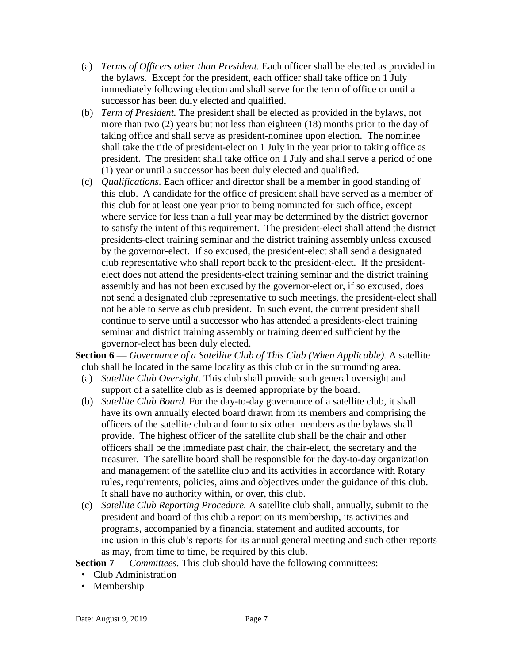- (a) *Terms of Officers other than President.* Each officer shall be elected as provided in the bylaws. Except for the president, each officer shall take office on 1 July immediately following election and shall serve for the term of office or until a successor has been duly elected and qualified.
- (b) *Term of President.* The president shall be elected as provided in the bylaws, not more than two (2) years but not less than eighteen (18) months prior to the day of taking office and shall serve as president-nominee upon election. The nominee shall take the title of president-elect on 1 July in the year prior to taking office as president. The president shall take office on 1 July and shall serve a period of one (1) year or until a successor has been duly elected and qualified.
- (c) *Qualifications.* Each officer and director shall be a member in good standing of this club. A candidate for the office of president shall have served as a member of this club for at least one year prior to being nominated for such office, except where service for less than a full year may be determined by the district governor to satisfy the intent of this requirement. The president-elect shall attend the district presidents-elect training seminar and the district training assembly unless excused by the governor-elect. If so excused, the president-elect shall send a designated club representative who shall report back to the president-elect. If the presidentelect does not attend the presidents-elect training seminar and the district training assembly and has not been excused by the governor-elect or, if so excused, does not send a designated club representative to such meetings, the president-elect shall not be able to serve as club president. In such event, the current president shall continue to serve until a successor who has attended a presidents-elect training seminar and district training assembly or training deemed sufficient by the governor-elect has been duly elected.

**Section 6 —** *Governance of a Satellite Club of This Club (When Applicable).* A satellite club shall be located in the same locality as this club or in the surrounding area.

- (a) *Satellite Club Oversight.* This club shall provide such general oversight and support of a satellite club as is deemed appropriate by the board.
- (b) *Satellite Club Board.* For the day-to-day governance of a satellite club, it shall have its own annually elected board drawn from its members and comprising the officers of the satellite club and four to six other members as the bylaws shall provide. The highest officer of the satellite club shall be the chair and other officers shall be the immediate past chair, the chair-elect, the secretary and the treasurer. The satellite board shall be responsible for the day-to-day organization and management of the satellite club and its activities in accordance with Rotary rules, requirements, policies, aims and objectives under the guidance of this club. It shall have no authority within, or over, this club.
- (c) *Satellite Club Reporting Procedure.* A satellite club shall, annually, submit to the president and board of this club a report on its membership, its activities and programs, accompanied by a financial statement and audited accounts, for inclusion in this club's reports for its annual general meeting and such other reports as may, from time to time, be required by this club.

**Section 7 —** *Committees.* This club should have the following committees:

- Club Administration
- Membership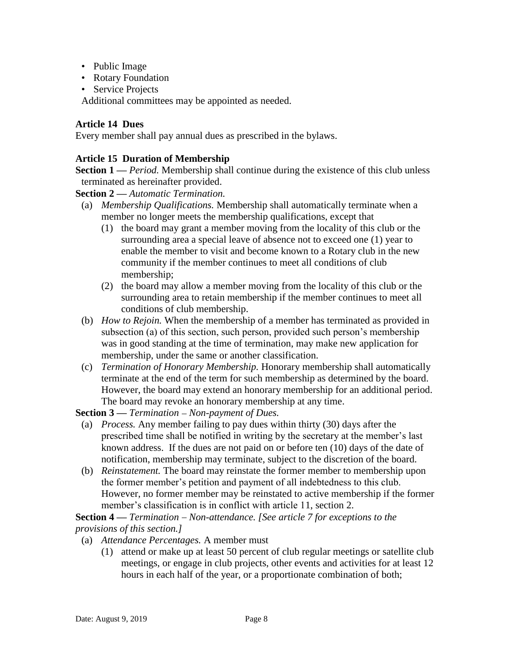- Public Image
- Rotary Foundation
- Service Projects

Additional committees may be appointed as needed.

### **Article 14 Dues**

Every member shall pay annual dues as prescribed in the bylaws.

### **Article 15 Duration of Membership**

**Section 1** — *Period*. Membership shall continue during the existence of this club unless terminated as hereinafter provided.

**Section 2 —** *Automatic Termination.* 

- (a) *Membership Qualifications.* Membership shall automatically terminate when a member no longer meets the membership qualifications, except that
	- (1) the board may grant a member moving from the locality of this club or the surrounding area a special leave of absence not to exceed one (1) year to enable the member to visit and become known to a Rotary club in the new community if the member continues to meet all conditions of club membership;
	- (2) the board may allow a member moving from the locality of this club or the surrounding area to retain membership if the member continues to meet all conditions of club membership.
- (b) *How to Rejoin.* When the membership of a member has terminated as provided in subsection (a) of this section, such person, provided such person's membership was in good standing at the time of termination, may make new application for membership, under the same or another classification.
- (c) *Termination of Honorary Membership.* Honorary membership shall automatically terminate at the end of the term for such membership as determined by the board. However, the board may extend an honorary membership for an additional period. The board may revoke an honorary membership at any time.

**Section 3** — *Termination* – *Non-payment of Dues.* 

- (a) *Process.* Any member failing to pay dues within thirty (30) days after the prescribed time shall be notified in writing by the secretary at the member's last known address. If the dues are not paid on or before ten (10) days of the date of notification, membership may terminate, subject to the discretion of the board.
- (b) *Reinstatement.* The board may reinstate the former member to membership upon the former member's petition and payment of all indebtedness to this club. However, no former member may be reinstated to active membership if the former member's classification is in conflict with article 11, section 2.

**Section 4** — *Termination* – *Non-attendance.* [See article 7 for exceptions to the *provisions of this section.]*

- (a) *Attendance Percentages.* A member must
	- (1) attend or make up at least 50 percent of club regular meetings or satellite club meetings, or engage in club projects, other events and activities for at least 12 hours in each half of the year, or a proportionate combination of both;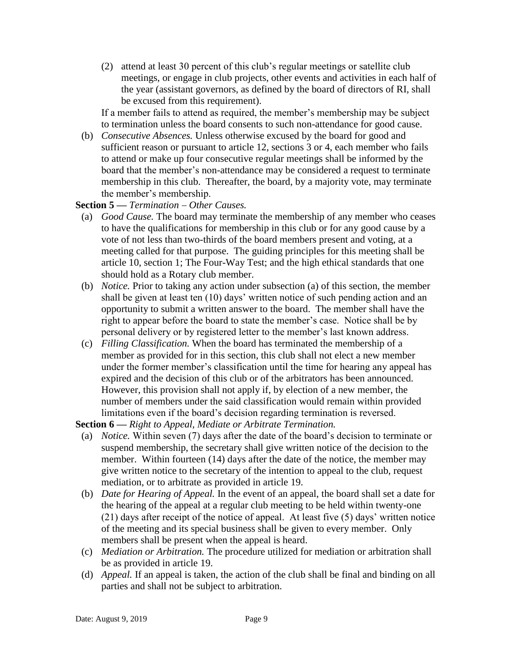(2) attend at least 30 percent of this club's regular meetings or satellite club meetings, or engage in club projects, other events and activities in each half of the year (assistant governors, as defined by the board of directors of RI, shall be excused from this requirement).

If a member fails to attend as required, the member's membership may be subject to termination unless the board consents to such non-attendance for good cause.

(b) *Consecutive Absences.* Unless otherwise excused by the board for good and sufficient reason or pursuant to article 12, sections 3 or 4, each member who fails to attend or make up four consecutive regular meetings shall be informed by the board that the member's non-attendance may be considered a request to terminate membership in this club. Thereafter, the board, by a majority vote, may terminate the member's membership.

**Section 5** — *Termination* – *Other Causes.* 

- (a) *Good Cause.* The board may terminate the membership of any member who ceases to have the qualifications for membership in this club or for any good cause by a vote of not less than two-thirds of the board members present and voting, at a meeting called for that purpose. The guiding principles for this meeting shall be article 10, section 1; The Four-Way Test; and the high ethical standards that one should hold as a Rotary club member.
- (b) *Notice.* Prior to taking any action under subsection (a) of this section, the member shall be given at least ten (10) days' written notice of such pending action and an opportunity to submit a written answer to the board. The member shall have the right to appear before the board to state the member's case. Notice shall be by personal delivery or by registered letter to the member's last known address.
- (c) *Filling Classification.* When the board has terminated the membership of a member as provided for in this section, this club shall not elect a new member under the former member's classification until the time for hearing any appeal has expired and the decision of this club or of the arbitrators has been announced. However, this provision shall not apply if, by election of a new member, the number of members under the said classification would remain within provided limitations even if the board's decision regarding termination is reversed.

**Section 6 —** *Right to Appeal, Mediate or Arbitrate Termination.*

- (a) *Notice.* Within seven (7) days after the date of the board's decision to terminate or suspend membership, the secretary shall give written notice of the decision to the member. Within fourteen (14) days after the date of the notice, the member may give written notice to the secretary of the intention to appeal to the club, request mediation, or to arbitrate as provided in article 19.
- (b) *Date for Hearing of Appeal.* In the event of an appeal, the board shall set a date for the hearing of the appeal at a regular club meeting to be held within twenty-one (21) days after receipt of the notice of appeal. At least five (5) days' written notice of the meeting and its special business shall be given to every member. Only members shall be present when the appeal is heard.
- (c) *Mediation or Arbitration.* The procedure utilized for mediation or arbitration shall be as provided in article 19.
- (d) *Appeal.* If an appeal is taken, the action of the club shall be final and binding on all parties and shall not be subject to arbitration.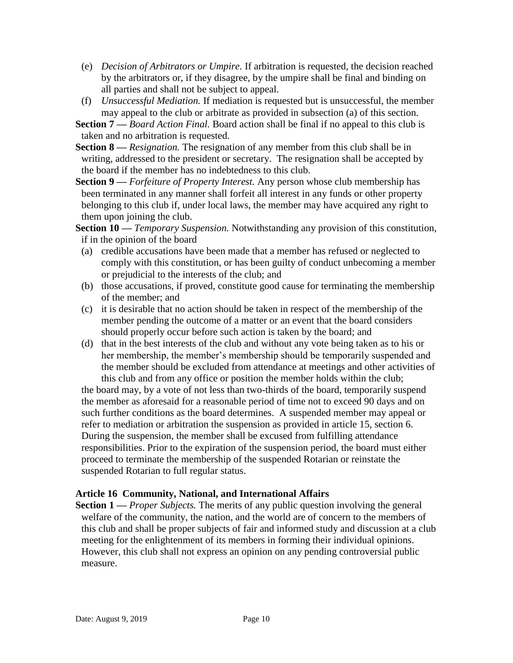- (e) *Decision of Arbitrators or Umpire.* If arbitration is requested, the decision reached by the arbitrators or, if they disagree, by the umpire shall be final and binding on all parties and shall not be subject to appeal.
- (f) *Unsuccessful Mediation.* If mediation is requested but is unsuccessful, the member may appeal to the club or arbitrate as provided in subsection (a) of this section.
- **Section 7 —** *Board Action Final.* Board action shall be final if no appeal to this club is taken and no arbitration is requested.
- **Section 8 —** *Resignation.* The resignation of any member from this club shall be in writing, addressed to the president or secretary. The resignation shall be accepted by the board if the member has no indebtedness to this club.
- **Section 9 —** *Forfeiture of Property Interest.* Any person whose club membership has been terminated in any manner shall forfeit all interest in any funds or other property belonging to this club if, under local laws, the member may have acquired any right to them upon joining the club.

**Section 10 —** *Temporary Suspension.* Notwithstanding any provision of this constitution, if in the opinion of the board

- (a) credible accusations have been made that a member has refused or neglected to comply with this constitution, or has been guilty of conduct unbecoming a member or prejudicial to the interests of the club; and
- (b) those accusations, if proved, constitute good cause for terminating the membership of the member; and
- (c) it is desirable that no action should be taken in respect of the membership of the member pending the outcome of a matter or an event that the board considers should properly occur before such action is taken by the board; and
- (d) that in the best interests of the club and without any vote being taken as to his or her membership, the member's membership should be temporarily suspended and the member should be excluded from attendance at meetings and other activities of this club and from any office or position the member holds within the club;

the board may, by a vote of not less than two-thirds of the board, temporarily suspend the member as aforesaid for a reasonable period of time not to exceed 90 days and on such further conditions as the board determines. A suspended member may appeal or refer to mediation or arbitration the suspension as provided in article 15, section 6. During the suspension, the member shall be excused from fulfilling attendance responsibilities. Prior to the expiration of the suspension period, the board must either proceed to terminate the membership of the suspended Rotarian or reinstate the suspended Rotarian to full regular status.

# **Article 16 Community, National, and International Affairs**

**Section 1 —** *Proper Subjects.* The merits of any public question involving the general welfare of the community, the nation, and the world are of concern to the members of this club and shall be proper subjects of fair and informed study and discussion at a club meeting for the enlightenment of its members in forming their individual opinions. However, this club shall not express an opinion on any pending controversial public measure.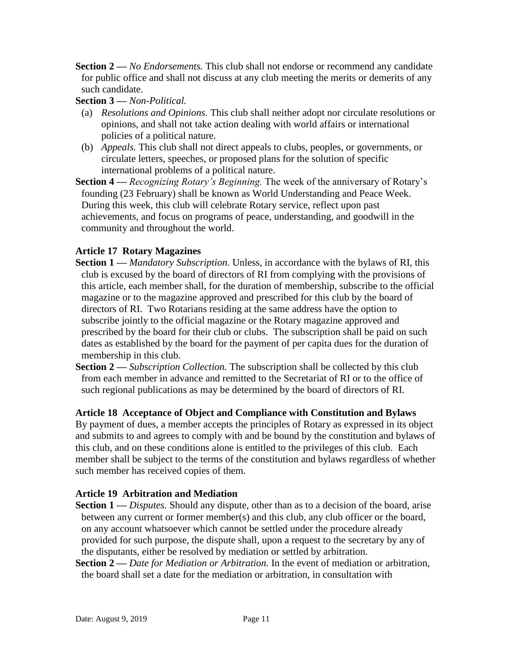- **Section 2 —** *No Endorsements.* This club shall not endorse or recommend any candidate for public office and shall not discuss at any club meeting the merits or demerits of any such candidate.
- **Section 3 —** *Non-Political.*
- (a) *Resolutions and Opinions.* This club shall neither adopt nor circulate resolutions or opinions, and shall not take action dealing with world affairs or international policies of a political nature.
- (b) *Appeals.* This club shall not direct appeals to clubs, peoples, or governments, or circulate letters, speeches, or proposed plans for the solution of specific international problems of a political nature.
- **Section 4 —** *Recognizing Rotary's Beginning.* The week of the anniversary of Rotary's founding (23 February) shall be known as World Understanding and Peace Week. During this week, this club will celebrate Rotary service, reflect upon past achievements, and focus on programs of peace, understanding, and goodwill in the community and throughout the world.

# **Article 17 Rotary Magazines**

- **Section 1** *Mandatory Subscription*. Unless, in accordance with the bylaws of RI, this club is excused by the board of directors of RI from complying with the provisions of this article, each member shall, for the duration of membership, subscribe to the official magazine or to the magazine approved and prescribed for this club by the board of directors of RI. Two Rotarians residing at the same address have the option to subscribe jointly to the official magazine or the Rotary magazine approved and prescribed by the board for their club or clubs. The subscription shall be paid on such dates as established by the board for the payment of per capita dues for the duration of membership in this club.
- **Section 2 —** *Subscription Collection.* The subscription shall be collected by this club from each member in advance and remitted to the Secretariat of RI or to the office of such regional publications as may be determined by the board of directors of RI.

# **Article 18 Acceptance of Object and Compliance with Constitution and Bylaws**

By payment of dues, a member accepts the principles of Rotary as expressed in its object and submits to and agrees to comply with and be bound by the constitution and bylaws of this club, and on these conditions alone is entitled to the privileges of this club. Each member shall be subject to the terms of the constitution and bylaws regardless of whether such member has received copies of them.

# **Article 19 Arbitration and Mediation**

- **Section 1 —** *Disputes.* Should any dispute, other than as to a decision of the board, arise between any current or former member(s) and this club, any club officer or the board, on any account whatsoever which cannot be settled under the procedure already provided for such purpose, the dispute shall, upon a request to the secretary by any of the disputants, either be resolved by mediation or settled by arbitration.
- **Section 2 —** *Date for Mediation or Arbitration.* In the event of mediation or arbitration, the board shall set a date for the mediation or arbitration, in consultation with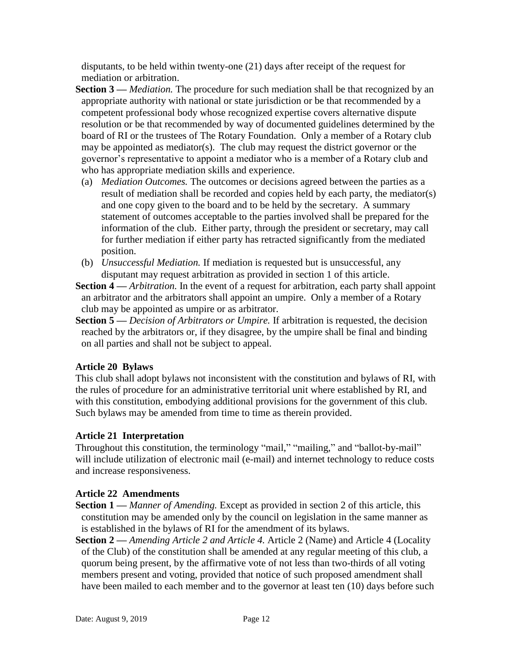disputants, to be held within twenty-one (21) days after receipt of the request for mediation or arbitration.

- **Section 3 —** *Mediation.* The procedure for such mediation shall be that recognized by an appropriate authority with national or state jurisdiction or be that recommended by a competent professional body whose recognized expertise covers alternative dispute resolution or be that recommended by way of documented guidelines determined by the board of RI or the trustees of The Rotary Foundation. Only a member of a Rotary club may be appointed as mediator(s). The club may request the district governor or the governor's representative to appoint a mediator who is a member of a Rotary club and who has appropriate mediation skills and experience.
- (a) *Mediation Outcomes.* The outcomes or decisions agreed between the parties as a result of mediation shall be recorded and copies held by each party, the mediator(s) and one copy given to the board and to be held by the secretary. A summary statement of outcomes acceptable to the parties involved shall be prepared for the information of the club. Either party, through the president or secretary, may call for further mediation if either party has retracted significantly from the mediated position.
- (b) *Unsuccessful Mediation.* If mediation is requested but is unsuccessful, any disputant may request arbitration as provided in section 1 of this article.
- **Section 4 —** *Arbitration.* In the event of a request for arbitration, each party shall appoint an arbitrator and the arbitrators shall appoint an umpire. Only a member of a Rotary club may be appointed as umpire or as arbitrator.
- **Section 5 —** *Decision of Arbitrators or Umpire.* If arbitration is requested, the decision reached by the arbitrators or, if they disagree, by the umpire shall be final and binding on all parties and shall not be subject to appeal.

# **Article 20 Bylaws**

This club shall adopt bylaws not inconsistent with the constitution and bylaws of RI, with the rules of procedure for an administrative territorial unit where established by RI, and with this constitution, embodying additional provisions for the government of this club. Such bylaws may be amended from time to time as therein provided.

# **Article 21 Interpretation**

Throughout this constitution, the terminology "mail," "mailing," and "ballot-by-mail" will include utilization of electronic mail (e-mail) and internet technology to reduce costs and increase responsiveness.

# **Article 22 Amendments**

- **Section 1 —** *Manner of Amending.* Except as provided in section 2 of this article, this constitution may be amended only by the council on legislation in the same manner as is established in the bylaws of RI for the amendment of its bylaws.
- **Section 2 —** *Amending Article 2 and Article 4.* Article 2 (Name) and Article 4 (Locality of the Club) of the constitution shall be amended at any regular meeting of this club, a quorum being present, by the affirmative vote of not less than two-thirds of all voting members present and voting, provided that notice of such proposed amendment shall have been mailed to each member and to the governor at least ten (10) days before such